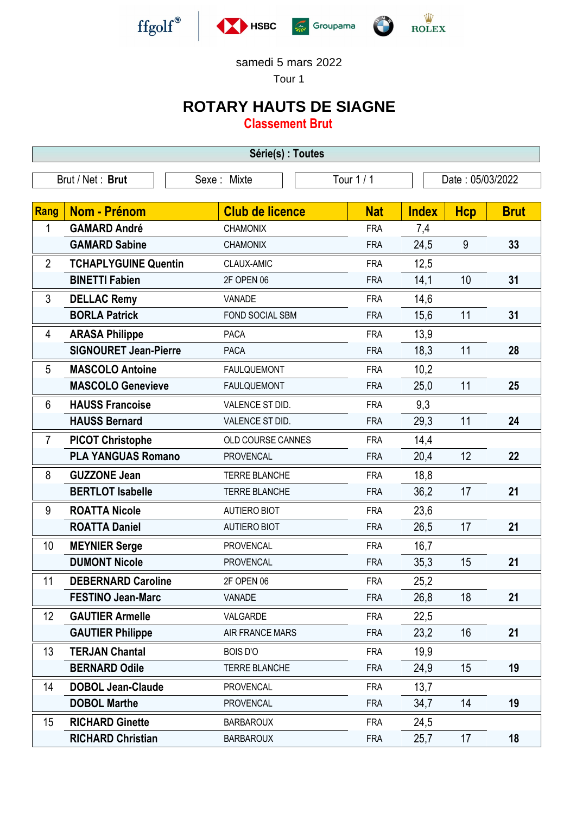



Tour 1

## **ROTARY HAUTS DE SIAGNE**

**Classement Brut**

| Série(s) : Toutes                                                 |                              |                        |            |              |            |             |  |
|-------------------------------------------------------------------|------------------------------|------------------------|------------|--------------|------------|-------------|--|
| Brut / Net: Brut<br>Tour 1 / 1<br>Date: 05/03/2022<br>Sexe: Mixte |                              |                        |            |              |            |             |  |
|                                                                   |                              |                        |            |              |            |             |  |
| <b>Rang</b>                                                       | <b>Nom - Prénom</b>          | <b>Club de licence</b> | <b>Nat</b> | <b>Index</b> | <b>Hcp</b> | <b>Brut</b> |  |
| 1                                                                 | <b>GAMARD André</b>          | <b>CHAMONIX</b>        | <b>FRA</b> | 7,4          |            |             |  |
|                                                                   | <b>GAMARD Sabine</b>         | <b>CHAMONIX</b>        | <b>FRA</b> | 24,5         | 9          | 33          |  |
| $\overline{2}$                                                    | <b>TCHAPLYGUINE Quentin</b>  | CLAUX-AMIC             | <b>FRA</b> | 12,5         |            |             |  |
|                                                                   | <b>BINETTI Fabien</b>        | 2F OPEN 06             | <b>FRA</b> | 14,1         | 10         | 31          |  |
| 3                                                                 | <b>DELLAC Remy</b>           | VANADE                 | <b>FRA</b> | 14,6         |            |             |  |
|                                                                   | <b>BORLA Patrick</b>         | FOND SOCIAL SBM        | <b>FRA</b> | 15,6         | 11         | 31          |  |
| 4                                                                 | <b>ARASA Philippe</b>        | <b>PACA</b>            | <b>FRA</b> | 13,9         |            |             |  |
|                                                                   | <b>SIGNOURET Jean-Pierre</b> | <b>PACA</b>            | <b>FRA</b> | 18,3         | 11         | 28          |  |
| 5                                                                 | <b>MASCOLO Antoine</b>       | <b>FAULQUEMONT</b>     | <b>FRA</b> | 10,2         |            |             |  |
|                                                                   | <b>MASCOLO Genevieve</b>     | <b>FAULQUEMONT</b>     | <b>FRA</b> | 25,0         | 11         | 25          |  |
| 6                                                                 | <b>HAUSS Francoise</b>       | VALENCE ST DID.        | <b>FRA</b> | 9,3          |            |             |  |
|                                                                   | <b>HAUSS Bernard</b>         | VALENCE ST DID.        | <b>FRA</b> | 29,3         | 11         | 24          |  |
| $\overline{7}$                                                    | <b>PICOT Christophe</b>      | OLD COURSE CANNES      | <b>FRA</b> | 14,4         |            |             |  |
|                                                                   | <b>PLA YANGUAS Romano</b>    | <b>PROVENCAL</b>       | <b>FRA</b> | 20,4         | 12         | 22          |  |
| 8                                                                 | <b>GUZZONE Jean</b>          | <b>TERRE BLANCHE</b>   | <b>FRA</b> | 18,8         |            |             |  |
|                                                                   | <b>BERTLOT Isabelle</b>      | <b>TERRE BLANCHE</b>   | <b>FRA</b> | 36,2         | 17         | 21          |  |
| 9                                                                 | <b>ROATTA Nicole</b>         | <b>AUTIERO BIOT</b>    | <b>FRA</b> | 23,6         |            |             |  |
|                                                                   | <b>ROATTA Daniel</b>         | <b>AUTIERO BIOT</b>    | <b>FRA</b> | 26,5         | 17         | 21          |  |
| 10                                                                | <b>MEYNIER Serge</b>         | <b>PROVENCAL</b>       | <b>FRA</b> | 16,7         |            |             |  |
|                                                                   | <b>DUMONT Nicole</b>         | <b>PROVENCAL</b>       | <b>FRA</b> | 35,3         | 15         | 21          |  |
| 11                                                                | <b>DEBERNARD Caroline</b>    | 2F OPEN 06             | <b>FRA</b> | 25,2         |            |             |  |
|                                                                   | <b>FESTINO Jean-Marc</b>     | VANADE                 | <b>FRA</b> | 26,8         | 18         | 21          |  |
| 12                                                                | <b>GAUTIER Armelle</b>       | VALGARDE               | <b>FRA</b> | 22,5         |            |             |  |
|                                                                   | <b>GAUTIER Philippe</b>      | <b>AIR FRANCE MARS</b> | <b>FRA</b> | 23,2         | 16         | 21          |  |
| 13                                                                | <b>TERJAN Chantal</b>        | <b>BOIS D'O</b>        | <b>FRA</b> | 19,9         |            |             |  |
|                                                                   | <b>BERNARD Odile</b>         | <b>TERRE BLANCHE</b>   | <b>FRA</b> | 24,9         | 15         | 19          |  |
| 14                                                                | <b>DOBOL Jean-Claude</b>     | <b>PROVENCAL</b>       | <b>FRA</b> | 13,7         |            |             |  |
|                                                                   | <b>DOBOL Marthe</b>          | <b>PROVENCAL</b>       | <b>FRA</b> | 34,7         | 14         | 19          |  |
| 15                                                                | <b>RICHARD Ginette</b>       | <b>BARBAROUX</b>       | <b>FRA</b> | 24,5         |            |             |  |
|                                                                   | <b>RICHARD Christian</b>     | <b>BARBAROUX</b>       | <b>FRA</b> | 25,7         | 17         | 18          |  |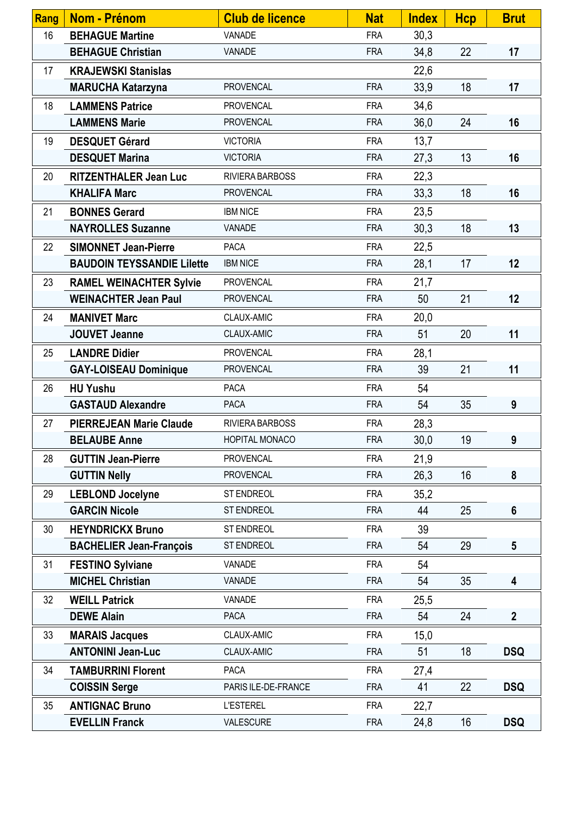| Rang | Nom - Prénom                      | <b>Club de licence</b> | <b>Nat</b> | <b>Index</b> | <b>Hcp</b> | <b>Brut</b>     |
|------|-----------------------------------|------------------------|------------|--------------|------------|-----------------|
| 16   | <b>BEHAGUE Martine</b>            | VANADE                 | <b>FRA</b> | 30,3         |            |                 |
|      | <b>BEHAGUE Christian</b>          | VANADE                 | <b>FRA</b> | 34,8         | 22         | 17              |
| 17   | <b>KRAJEWSKI Stanislas</b>        |                        |            | 22,6         |            |                 |
|      | <b>MARUCHA Katarzyna</b>          | <b>PROVENCAL</b>       | <b>FRA</b> | 33,9         | 18         | 17              |
| 18   | <b>LAMMENS Patrice</b>            | <b>PROVENCAL</b>       | <b>FRA</b> | 34,6         |            |                 |
|      | <b>LAMMENS Marie</b>              | <b>PROVENCAL</b>       | <b>FRA</b> | 36,0         | 24         | 16              |
| 19   | <b>DESQUET Gérard</b>             | <b>VICTORIA</b>        | <b>FRA</b> | 13,7         |            |                 |
|      | <b>DESQUET Marina</b>             | <b>VICTORIA</b>        | <b>FRA</b> | 27,3         | 13         | 16              |
| 20   | <b>RITZENTHALER Jean Luc</b>      | RIVIERA BARBOSS        | <b>FRA</b> | 22,3         |            |                 |
|      | <b>KHALIFA Marc</b>               | <b>PROVENCAL</b>       | <b>FRA</b> | 33,3         | 18         | 16              |
| 21   | <b>BONNES Gerard</b>              | <b>IBM NICE</b>        | <b>FRA</b> | 23,5         |            |                 |
|      | <b>NAYROLLES Suzanne</b>          | VANADE                 | <b>FRA</b> | 30,3         | 18         | 13              |
| 22   | <b>SIMONNET Jean-Pierre</b>       | <b>PACA</b>            | <b>FRA</b> | 22,5         |            |                 |
|      | <b>BAUDOIN TEYSSANDIE Lilette</b> | <b>IBM NICE</b>        | <b>FRA</b> | 28,1         | 17         | 12              |
| 23   | <b>RAMEL WEINACHTER Sylvie</b>    | <b>PROVENCAL</b>       | <b>FRA</b> | 21,7         |            |                 |
|      | <b>WEINACHTER Jean Paul</b>       | <b>PROVENCAL</b>       | <b>FRA</b> | 50           | 21         | 12              |
| 24   | <b>MANIVET Marc</b>               | CLAUX-AMIC             | <b>FRA</b> | 20,0         |            |                 |
|      | <b>JOUVET Jeanne</b>              | CLAUX-AMIC             | <b>FRA</b> | 51           | 20         | 11              |
| 25   | <b>LANDRE Didier</b>              | <b>PROVENCAL</b>       | <b>FRA</b> | 28,1         |            |                 |
|      | <b>GAY-LOISEAU Dominique</b>      | <b>PROVENCAL</b>       | <b>FRA</b> | 39           | 21         | 11              |
| 26   | <b>HU Yushu</b>                   | <b>PACA</b>            | <b>FRA</b> | 54           |            |                 |
|      | <b>GASTAUD Alexandre</b>          | <b>PACA</b>            | <b>FRA</b> | 54           | 35         | 9               |
| 27   | <b>PIERREJEAN Marie Claude</b>    | RIVIERA BARBOSS        | <b>FRA</b> | 28,3         |            |                 |
|      | <b>BELAUBE Anne</b>               | HOPITAL MONACO         | <b>FRA</b> | 30,0         | 19         | 9               |
| 28   | <b>GUTTIN Jean-Pierre</b>         | <b>PROVENCAL</b>       | <b>FRA</b> | 21,9         |            |                 |
|      | <b>GUTTIN Nelly</b>               | <b>PROVENCAL</b>       | <b>FRA</b> | 26,3         | 16         | 8               |
| 29   | <b>LEBLOND Jocelyne</b>           | ST ENDREOL             | <b>FRA</b> | 35,2         |            |                 |
|      | <b>GARCIN Nicole</b>              | ST ENDREOL             | <b>FRA</b> | 44           | 25         | $6\phantom{1}$  |
| 30   | <b>HEYNDRICKX Bruno</b>           | ST ENDREOL             | <b>FRA</b> | 39           |            |                 |
|      | <b>BACHELIER Jean-François</b>    | ST ENDREOL             | <b>FRA</b> | 54           | 29         | $5\phantom{.0}$ |
| 31   | <b>FESTINO Sylviane</b>           | VANADE                 | <b>FRA</b> | 54           |            |                 |
|      | <b>MICHEL Christian</b>           | VANADE                 | <b>FRA</b> | 54           | 35         | 4               |
| 32   | <b>WEILL Patrick</b>              | VANADE                 | <b>FRA</b> | 25,5         |            |                 |
|      | <b>DEWE Alain</b>                 | <b>PACA</b>            | <b>FRA</b> | 54           | 24         | $\mathbf{2}$    |
| 33   | <b>MARAIS Jacques</b>             | CLAUX-AMIC             | <b>FRA</b> | 15,0         |            |                 |
|      | <b>ANTONINI Jean-Luc</b>          | CLAUX-AMIC             | <b>FRA</b> | 51           | 18         | <b>DSQ</b>      |
| 34   | <b>TAMBURRINI Florent</b>         | <b>PACA</b>            | <b>FRA</b> | 27,4         |            |                 |
|      | <b>COISSIN Serge</b>              | PARIS ILE-DE-FRANCE    | <b>FRA</b> | 41           | 22         | <b>DSQ</b>      |
| 35   | <b>ANTIGNAC Bruno</b>             | <b>L'ESTEREL</b>       | <b>FRA</b> | 22,7         |            |                 |
|      | <b>EVELLIN Franck</b>             | VALESCURE              | <b>FRA</b> | 24,8         | 16         | <b>DSQ</b>      |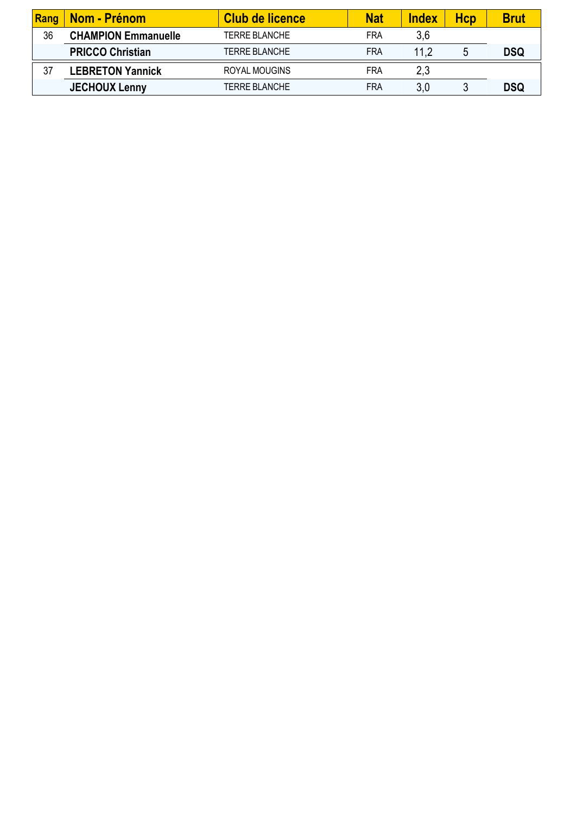| Rang | <b>Nom - Prénom</b>        | Club de licence      | <b>Nat</b> | <b>Index</b> | Hcp | <b>Brut</b> |
|------|----------------------------|----------------------|------------|--------------|-----|-------------|
| 36   | <b>CHAMPION Emmanuelle</b> | <b>TERRE BLANCHE</b> | <b>FRA</b> | 3.6          |     |             |
|      | <b>PRICCO Christian</b>    | <b>TERRE BLANCHE</b> | <b>FRA</b> | 11.2         |     | <b>DSQ</b>  |
| 37   | <b>LEBRETON Yannick</b>    | ROYAL MOUGINS        | <b>FRA</b> | 2,3          |     |             |
|      | <b>JECHOUX Lenny</b>       | <b>TERRE BLANCHE</b> | <b>FRA</b> | 3.0          |     | <b>DSQ</b>  |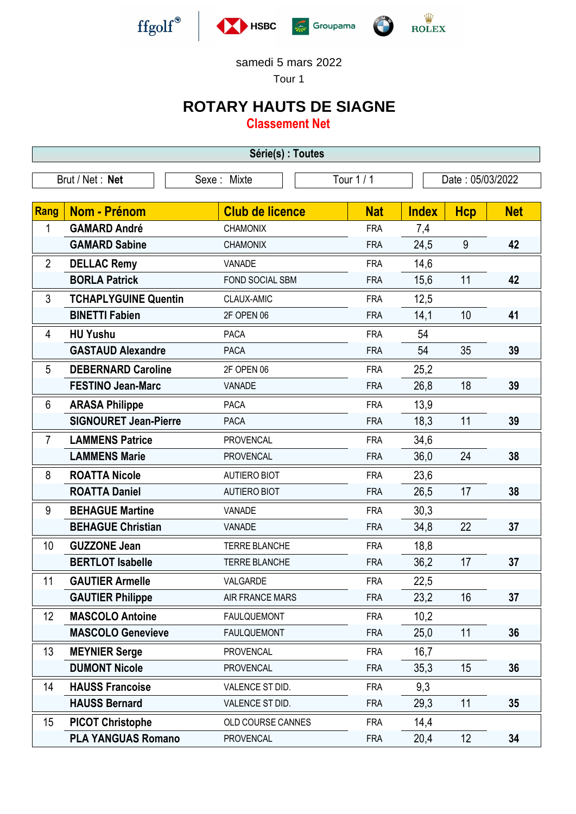



Tour 1

## **ROTARY HAUTS DE SIAGNE**

**Classement Net**

| Série(s) : Toutes                                                |                              |                        |            |              |                 |            |  |
|------------------------------------------------------------------|------------------------------|------------------------|------------|--------------|-----------------|------------|--|
| Brut / Net: Net<br>Tour 1 / 1<br>Sexe: Mixte<br>Date: 05/03/2022 |                              |                        |            |              |                 |            |  |
|                                                                  |                              |                        |            |              |                 |            |  |
| Rang                                                             | <b>Nom - Prénom</b>          | <b>Club de licence</b> | <b>Nat</b> | <b>Index</b> | <b>Hcp</b>      | <b>Net</b> |  |
| 1                                                                | <b>GAMARD André</b>          | <b>CHAMONIX</b>        | <b>FRA</b> | 7,4          |                 |            |  |
|                                                                  | <b>GAMARD Sabine</b>         | <b>CHAMONIX</b>        | <b>FRA</b> | 24,5         | 9               | 42         |  |
| $\overline{2}$                                                   | <b>DELLAC Remy</b>           | VANADE                 | <b>FRA</b> | 14,6         |                 |            |  |
|                                                                  | <b>BORLA Patrick</b>         | FOND SOCIAL SBM        | <b>FRA</b> | 15,6         | 11              | 42         |  |
| 3                                                                | <b>TCHAPLYGUINE Quentin</b>  | CLAUX-AMIC             | <b>FRA</b> | 12,5         |                 |            |  |
|                                                                  | <b>BINETTI Fabien</b>        | 2F OPEN 06             | <b>FRA</b> | 14,1         | 10              | 41         |  |
| 4                                                                | <b>HU Yushu</b>              | <b>PACA</b>            | <b>FRA</b> | 54           |                 |            |  |
|                                                                  | <b>GASTAUD Alexandre</b>     | <b>PACA</b>            | <b>FRA</b> | 54           | 35              | 39         |  |
| 5                                                                | <b>DEBERNARD Caroline</b>    | 2F OPEN 06             | <b>FRA</b> | 25,2         |                 |            |  |
|                                                                  | <b>FESTINO Jean-Marc</b>     | VANADE                 | <b>FRA</b> | 26,8         | 18              | 39         |  |
| 6                                                                | <b>ARASA Philippe</b>        | <b>PACA</b>            | <b>FRA</b> | 13,9         |                 |            |  |
|                                                                  | <b>SIGNOURET Jean-Pierre</b> | <b>PACA</b>            | <b>FRA</b> | 18,3         | 11              | 39         |  |
| $\overline{7}$                                                   | <b>LAMMENS Patrice</b>       | <b>PROVENCAL</b>       | <b>FRA</b> | 34,6         |                 |            |  |
|                                                                  | <b>LAMMENS Marie</b>         | <b>PROVENCAL</b>       | <b>FRA</b> | 36,0         | 24              | 38         |  |
| 8                                                                | <b>ROATTA Nicole</b>         | <b>AUTIERO BIOT</b>    | <b>FRA</b> | 23,6         |                 |            |  |
|                                                                  | <b>ROATTA Daniel</b>         | <b>AUTIERO BIOT</b>    | <b>FRA</b> | 26,5         | 17              | 38         |  |
| 9                                                                | <b>BEHAGUE Martine</b>       | VANADE                 | <b>FRA</b> | 30,3         |                 |            |  |
|                                                                  | <b>BEHAGUE Christian</b>     | VANADE                 | <b>FRA</b> | 34,8         | 22              | 37         |  |
| 10                                                               | <b>GUZZONE Jean</b>          | <b>TERRE BLANCHE</b>   | <b>FRA</b> | 18,8         |                 |            |  |
|                                                                  | <b>BERTLOT Isabelle</b>      | <b>TERRE BLANCHE</b>   | <b>FRA</b> | 36,2         | 17              | 37         |  |
| 11                                                               | <b>GAUTIER Armelle</b>       | VALGARDE               | <b>FRA</b> | 22,5         |                 |            |  |
|                                                                  | <b>GAUTIER Philippe</b>      | <b>AIR FRANCE MARS</b> | <b>FRA</b> | 23,2         | 16              | 37         |  |
| 12                                                               | <b>MASCOLO Antoine</b>       | <b>FAULQUEMONT</b>     | <b>FRA</b> | 10,2         |                 |            |  |
|                                                                  | <b>MASCOLO Genevieve</b>     | <b>FAULQUEMONT</b>     | <b>FRA</b> | 25,0         | 11              | 36         |  |
| 13                                                               | <b>MEYNIER Serge</b>         | <b>PROVENCAL</b>       | <b>FRA</b> | 16,7         |                 |            |  |
|                                                                  | <b>DUMONT Nicole</b>         | <b>PROVENCAL</b>       | <b>FRA</b> | 35,3         | 15              | 36         |  |
| 14                                                               | <b>HAUSS Francoise</b>       | VALENCE ST DID.        | <b>FRA</b> | 9,3          |                 |            |  |
|                                                                  | <b>HAUSS Bernard</b>         | VALENCE ST DID.        | <b>FRA</b> | 29,3         | 11              | 35         |  |
| 15                                                               | <b>PICOT Christophe</b>      | OLD COURSE CANNES      | <b>FRA</b> | 14,4         |                 |            |  |
|                                                                  | <b>PLA YANGUAS Romano</b>    | PROVENCAL              | <b>FRA</b> | 20,4         | 12 <sup>°</sup> | 34         |  |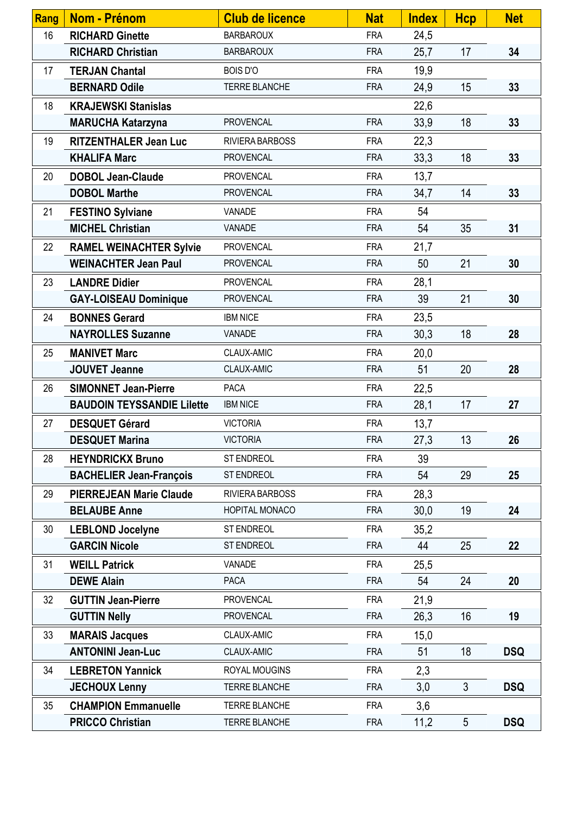| Rang | Nom - Prénom                      | <b>Club de licence</b> | <b>Nat</b> | <b>Index</b> | <b>Hcp</b>     | <b>Net</b> |
|------|-----------------------------------|------------------------|------------|--------------|----------------|------------|
| 16   | <b>RICHARD Ginette</b>            | <b>BARBAROUX</b>       | <b>FRA</b> | 24,5         |                |            |
|      | <b>RICHARD Christian</b>          | <b>BARBAROUX</b>       | <b>FRA</b> | 25,7         | 17             | 34         |
| 17   | <b>TERJAN Chantal</b>             | <b>BOIS D'O</b>        | <b>FRA</b> | 19,9         |                |            |
|      | <b>BERNARD Odile</b>              | <b>TERRE BLANCHE</b>   | <b>FRA</b> | 24,9         | 15             | 33         |
| 18   | <b>KRAJEWSKI Stanislas</b>        |                        |            | 22,6         |                |            |
|      | <b>MARUCHA Katarzyna</b>          | PROVENCAL              | <b>FRA</b> | 33,9         | 18             | 33         |
| 19   | <b>RITZENTHALER Jean Luc</b>      | RIVIERA BARBOSS        | <b>FRA</b> | 22,3         |                |            |
|      | <b>KHALIFA Marc</b>               | <b>PROVENCAL</b>       | <b>FRA</b> | 33,3         | 18             | 33         |
| 20   | <b>DOBOL Jean-Claude</b>          | <b>PROVENCAL</b>       | <b>FRA</b> | 13,7         |                |            |
|      | <b>DOBOL Marthe</b>               | <b>PROVENCAL</b>       | <b>FRA</b> | 34,7         | 14             | 33         |
| 21   | <b>FESTINO Sylviane</b>           | VANADE                 | <b>FRA</b> | 54           |                |            |
|      | <b>MICHEL Christian</b>           | VANADE                 | <b>FRA</b> | 54           | 35             | 31         |
| 22   | <b>RAMEL WEINACHTER Sylvie</b>    | <b>PROVENCAL</b>       | <b>FRA</b> | 21,7         |                |            |
|      | <b>WEINACHTER Jean Paul</b>       | <b>PROVENCAL</b>       | <b>FRA</b> | 50           | 21             | 30         |
| 23   | <b>LANDRE Didier</b>              | <b>PROVENCAL</b>       | <b>FRA</b> | 28,1         |                |            |
|      | <b>GAY-LOISEAU Dominique</b>      | <b>PROVENCAL</b>       | <b>FRA</b> | 39           | 21             | 30         |
| 24   | <b>BONNES Gerard</b>              | <b>IBM NICE</b>        | <b>FRA</b> | 23,5         |                |            |
|      | <b>NAYROLLES Suzanne</b>          | VANADE                 | <b>FRA</b> | 30,3         | 18             | 28         |
| 25   | <b>MANIVET Marc</b>               | CLAUX-AMIC             | <b>FRA</b> | 20,0         |                |            |
|      | <b>JOUVET Jeanne</b>              | CLAUX-AMIC             | <b>FRA</b> | 51           | 20             | 28         |
| 26   | <b>SIMONNET Jean-Pierre</b>       | <b>PACA</b>            | <b>FRA</b> | 22,5         |                |            |
|      | <b>BAUDOIN TEYSSANDIE Lilette</b> | <b>IBM NICE</b>        | <b>FRA</b> | 28,1         | 17             | 27         |
| 27   | <b>DESQUET Gérard</b>             | <b>VICTORIA</b>        | <b>FRA</b> | 13,7         |                |            |
|      | <b>DESQUET Marina</b>             | <b>VICTORIA</b>        | <b>FRA</b> | 27,3         | 13             | 26         |
| 28   | <b>HEYNDRICKX Bruno</b>           | <b>ST ENDREOL</b>      | <b>FRA</b> | 39           |                |            |
|      | <b>BACHELIER Jean-François</b>    | ST ENDREOL             | <b>FRA</b> | 54           | 29             | 25         |
| 29   | <b>PIERREJEAN Marie Claude</b>    | RIVIERA BARBOSS        | <b>FRA</b> | 28,3         |                |            |
|      | <b>BELAUBE Anne</b>               | HOPITAL MONACO         | <b>FRA</b> | 30,0         | 19             | 24         |
| 30   | <b>LEBLOND Jocelyne</b>           | ST ENDREOL             | <b>FRA</b> | 35,2         |                |            |
|      | <b>GARCIN Nicole</b>              | ST ENDREOL             | <b>FRA</b> | 44           | 25             | 22         |
| 31   | <b>WEILL Patrick</b>              | VANADE                 | <b>FRA</b> | 25,5         |                |            |
|      | <b>DEWE Alain</b>                 | <b>PACA</b>            | <b>FRA</b> | 54           | 24             | 20         |
| 32   | <b>GUTTIN Jean-Pierre</b>         | PROVENCAL              | <b>FRA</b> | 21,9         |                |            |
|      | <b>GUTTIN Nelly</b>               | <b>PROVENCAL</b>       | <b>FRA</b> | 26,3         | 16             | 19         |
| 33   | <b>MARAIS Jacques</b>             | CLAUX-AMIC             | <b>FRA</b> | 15,0         |                |            |
|      | <b>ANTONINI Jean-Luc</b>          | CLAUX-AMIC             | <b>FRA</b> | 51           | 18             | <b>DSQ</b> |
| 34   | <b>LEBRETON Yannick</b>           | ROYAL MOUGINS          | <b>FRA</b> | 2,3          |                |            |
|      | <b>JECHOUX Lenny</b>              | TERRE BLANCHE          | <b>FRA</b> | 3,0          | $\mathfrak{S}$ | <b>DSQ</b> |
| 35   | <b>CHAMPION Emmanuelle</b>        | TERRE BLANCHE          | <b>FRA</b> | 3,6          |                |            |
|      | <b>PRICCO Christian</b>           | TERRE BLANCHE          | <b>FRA</b> | 11,2         | 5              | <b>DSQ</b> |